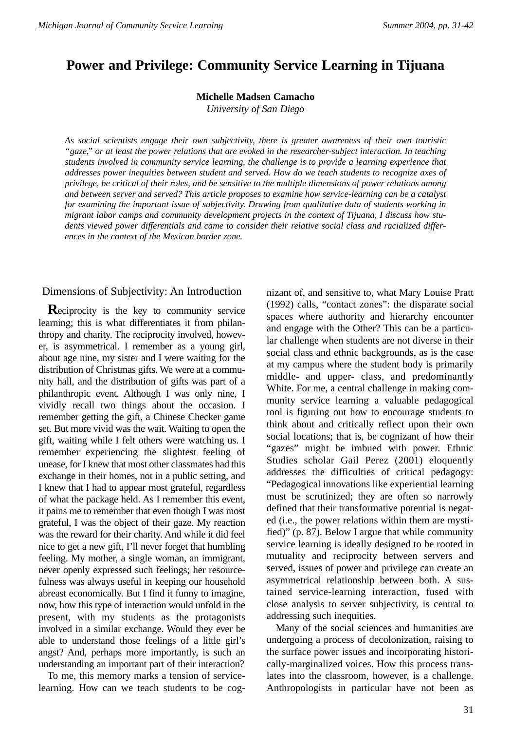# **Power and Privilege: Community Service Learning in Tijuana**

**Michelle Madsen Camacho**

*University of San Diego*

*As social scientists engage their own subjectivity, there is greater awareness of their own touristic "gaze," or at least the power relations that are evoked in the researcher-subject interaction. In teaching students involved in community service learning, the challenge is to provide a learning experience that addresses power inequities between student and served. How do we teach students to recognize axes of privilege, be critical of their roles, and be sensitive to the multiple dimensions of power relations among and between server and served? This article proposes to examine how service-learning can be a catalyst for examining the important issue of subjectivity. Drawing from qualitative data of students working in migrant labor camps and community development projects in the context of Tijuana, I discuss how students viewed power differentials and came to consider their relative social class and racialized differences in the context of the Mexican border zone.*

Dimensions of Subjectivity: An Introduction

**R**eciprocity is the key to community service learning; this is what differentiates it from philanthropy and charity. The reciprocity involved, however, is asymmetrical. I remember as a young girl, about age nine, my sister and I were waiting for the distribution of Christmas gifts. We were at a community hall, and the distribution of gifts was part of a philanthropic event. Although I was only nine, I vividly recall two things about the occasion. I remember getting the gift, a Chinese Checker game set. But more vivid was the wait. Waiting to open the gift, waiting while I felt others were watching us. I remember experiencing the slightest feeling of unease, for I knew that most other classmates had this exchange in their homes, not in a public setting, and I knew that I had to appear most grateful, regardless of what the package held. As I remember this event, it pains me to remember that even though I was most grateful, I was the object of their gaze. My reaction was the reward for their charity. And while it did feel nice to get a new gift, I'll never forget that humbling feeling. My mother, a single woman, an immigrant, never openly expressed such feelings; her resourcefulness was always useful in keeping our household abreast economically. But I find it funny to imagine, now, how this type of interaction would unfold in the present, with my students as the protagonists involved in a similar exchange. Would they ever be able to understand those feelings of a little girl's angst? And, perhaps more importantly, is such an understanding an important part of their interaction?

To me, this memory marks a tension of servicelearning. How can we teach students to be cognizant of, and sensitive to, what Mary Louise Pratt (1992) calls, "contact zones": the disparate social spaces where authority and hierarchy encounter and engage with the Other? This can be a particular challenge when students are not diverse in their social class and ethnic backgrounds, as is the case at my campus where the student body is primarily middle- and upper- class, and predominantly White. For me, a central challenge in making community service learning a valuable pedagogical tool is figuring out how to encourage students to think about and critically reflect upon their own social locations; that is, be cognizant of how their "gazes" might be imbued with power. Ethnic Studies scholar Gail Perez (2001) eloquently addresses the difficulties of critical pedagogy: "Pedagogical innovations like experiential learning must be scrutinized; they are often so narrowly defined that their transformative potential is negated (i.e., the power relations within them are mystified)" (p. 87). Below I argue that while community service learning is ideally designed to be rooted in mutuality and reciprocity between servers and served, issues of power and privilege can create an asymmetrical relationship between both. A sustained service-learning interaction, fused with close analysis to server subjectivity, is central to addressing such inequities.

Many of the social sciences and humanities are undergoing a process of decolonization, raising to the surface power issues and incorporating historically-marginalized voices. How this process translates into the classroom, however, is a challenge. Anthropologists in particular have not been as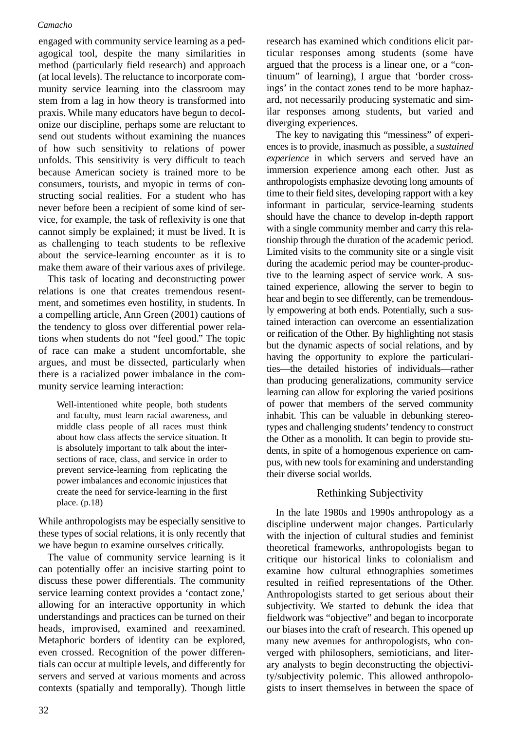engaged with community service learning as a pedagogical tool, despite the many similarities in method (particularly field research) and approach (at local levels). The reluctance to incorporate community service learning into the classroom may stem from a lag in how theory is transformed into praxis. While many educators have begun to decolonize our discipline, perhaps some are reluctant to send out students without examining the nuances of how such sensitivity to relations of power unfolds. This sensitivity is very difficult to teach because American society is trained more to be consumers, tourists, and myopic in terms of constructing social realities. For a student who has never before been a recipient of some kind of service, for example, the task of reflexivity is one that cannot simply be explained; it must be lived. It is as challenging to teach students to be reflexive about the service-learning encounter as it is to make them aware of their various axes of privilege.

This task of locating and deconstructing power relations is one that creates tremendous resentment, and sometimes even hostility, in students. In a compelling article, Ann Green (2001) cautions of the tendency to gloss over differential power relations when students do not "feel good." The topic of race can make a student uncomfortable, she argues, and must be dissected, particularly when there is a racialized power imbalance in the community service learning interaction:

Well-intentioned white people, both students and faculty, must learn racial awareness, and middle class people of all races must think about how class affects the service situation. It is absolutely important to talk about the intersections of race, class, and service in order to prevent service-learning from replicating the power imbalances and economic injustices that create the need for service-learning in the first place. (p.18)

While anthropologists may be especially sensitive to these types of social relations, it is only recently that we have begun to examine ourselves critically.

The value of community service learning is it can potentially offer an incisive starting point to discuss these power differentials. The community service learning context provides a 'contact zone,' allowing for an interactive opportunity in which understandings and practices can be turned on their heads, improvised, examined and reexamined. Metaphoric borders of identity can be explored, even crossed. Recognition of the power differentials can occur at multiple levels, and differently for servers and served at various moments and across contexts (spatially and temporally). Though little

research has examined which conditions elicit particular responses among students (some have argued that the process is a linear one, or a "continuum" of learning), I argue that 'border crossings' in the contact zones tend to be more haphazard, not necessarily producing systematic and similar responses among students, but varied and diverging experiences.

The key to navigating this "messiness" of experiences is to provide, inasmuch as possible, a *sustained experience* in which servers and served have an immersion experience among each other. Just as anthropologists emphasize devoting long amounts of time to their field sites, developing rapport with a key informant in particular, service-learning students should have the chance to develop in-depth rapport with a single community member and carry this relationship through the duration of the academic period. Limited visits to the community site or a single visit during the academic period may be counter-productive to the learning aspect of service work. A sustained experience, allowing the server to begin to hear and begin to see differently, can be tremendously empowering at both ends. Potentially, such a sustained interaction can overcome an essentialization or reification of the Other. By highlighting not stasis but the dynamic aspects of social relations, and by having the opportunity to explore the particularities—the detailed histories of individuals—rather than producing generalizations, community service learning can allow for exploring the varied positions of power that members of the served community inhabit. This can be valuable in debunking stereotypes and challenging students' tendency to construct the Other as a monolith. It can begin to provide students, in spite of a homogenous experience on campus, with new tools for examining and understanding their diverse social worlds.

# Rethinking Subjectivity

In the late 1980s and 1990s anthropology as a discipline underwent major changes. Particularly with the injection of cultural studies and feminist theoretical frameworks, anthropologists began to critique our historical links to colonialism and examine how cultural ethnographies sometimes resulted in reified representations of the Other. Anthropologists started to get serious about their subjectivity. We started to debunk the idea that fieldwork was "objective" and began to incorporate our biases into the craft of research. This opened up many new avenues for anthropologists, who converged with philosophers, semioticians, and literary analysts to begin deconstructing the objectivity/subjectivity polemic. This allowed anthropologists to insert themselves in between the space of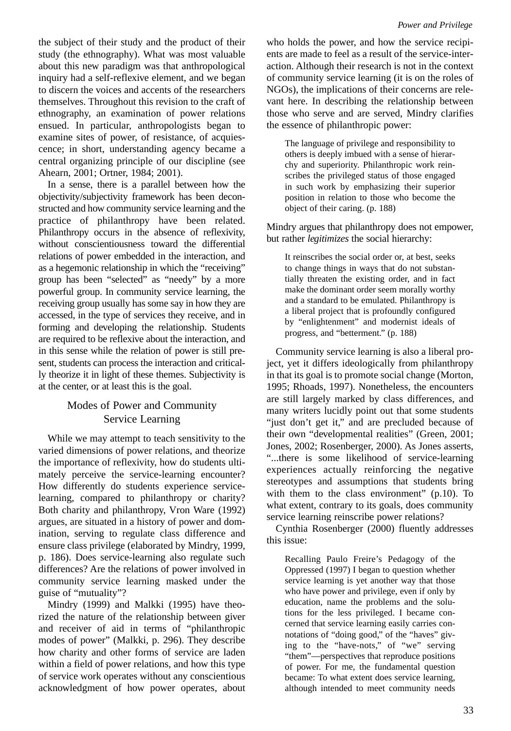the subject of their study and the product of their study (the ethnography). What was most valuable about this new paradigm was that anthropological inquiry had a self-reflexive element, and we began to discern the voices and accents of the researchers themselves. Throughout this revision to the craft of ethnography, an examination of power relations ensued. In particular, anthropologists began to examine sites of power, of resistance, of acquiescence; in short, understanding agency became a central organizing principle of our discipline (see Ahearn, 2001; Ortner, 1984; 2001).

In a sense, there is a parallel between how the objectivity/subjectivity framework has been deconstructed and how community service learning and the practice of philanthropy have been related. Philanthropy occurs in the absence of reflexivity, without conscientiousness toward the differential relations of power embedded in the interaction, and as a hegemonic relationship in which the "receiving" group has been "selected" as "needy" by a more powerful group. In community service learning, the receiving group usually has some say in how they are accessed, in the type of services they receive, and in forming and developing the relationship. Students are required to be reflexive about the interaction, and in this sense while the relation of power is still present, students can process the interaction and critically theorize it in light of these themes. Subjectivity is at the center, or at least this is the goal.

# Modes of Power and Community Service Learning

While we may attempt to teach sensitivity to the varied dimensions of power relations, and theorize the importance of reflexivity, how do students ultimately perceive the service-learning encounter? How differently do students experience servicelearning, compared to philanthropy or charity? Both charity and philanthropy, Vron Ware (1992) argues, are situated in a history of power and domination, serving to regulate class difference and ensure class privilege (elaborated by Mindry, 1999, p. 186). Does service-learning also regulate such differences? Are the relations of power involved in community service learning masked under the guise of "mutuality"?

Mindry (1999) and Malkki (1995) have theorized the nature of the relationship between giver and receiver of aid in terms of "philanthropic modes of power" (Malkki, p. 296). They describe how charity and other forms of service are laden within a field of power relations, and how this type of service work operates without any conscientious acknowledgment of how power operates, about

who holds the power, and how the service recipients are made to feel as a result of the service-interaction. Although their research is not in the context of community service learning (it is on the roles of NGOs), the implications of their concerns are relevant here. In describing the relationship between those who serve and are served, Mindry clarifies the essence of philanthropic power:

The language of privilege and responsibility to others is deeply imbued with a sense of hierarchy and superiority. Philanthropic work reinscribes the privileged status of those engaged in such work by emphasizing their superior position in relation to those who become the object of their caring. (p. 188)

Mindry argues that philanthropy does not empower, but rather *legitimizes* the social hierarchy:

It reinscribes the social order or, at best, seeks to change things in ways that do not substantially threaten the existing order, and in fact make the dominant order seem morally worthy and a standard to be emulated. Philanthropy is a liberal project that is profoundly configured by "enlightenment" and modernist ideals of progress, and "betterment." (p. 188)

Community service learning is also a liberal project, yet it differs ideologically from philanthropy in that its goal is to promote social change (Morton, 1995; Rhoads, 1997). Nonetheless, the encounters are still largely marked by class differences, and many writers lucidly point out that some students "just don't get it," and are precluded because of their own "developmental realities" (Green, 2001; Jones, 2002; Rosenberger, 2000). As Jones asserts, "...there is some likelihood of service-learning experiences actually reinforcing the negative stereotypes and assumptions that students bring with them to the class environment" (p.10). To what extent, contrary to its goals, does community service learning reinscribe power relations?

Cynthia Rosenberger (2000) fluently addresses this issue:

Recalling Paulo Freire's Pedagogy of the Oppressed (1997) I began to question whether service learning is yet another way that those who have power and privilege, even if only by education, name the problems and the solutions for the less privileged. I became concerned that service learning easily carries connotations of "doing good," of the "haves" giving to the "have-nots," of "we" serving "them"—perspectives that reproduce positions of power. For me, the fundamental question became: To what extent does service learning, although intended to meet community needs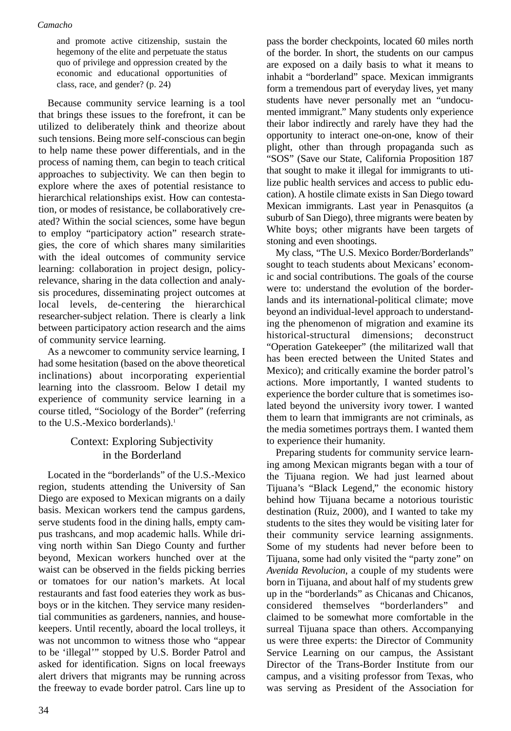and promote active citizenship, sustain the hegemony of the elite and perpetuate the status quo of privilege and oppression created by the economic and educational opportunities of class, race, and gender? (p. 24)

Because community service learning is a tool that brings these issues to the forefront, it can be utilized to deliberately think and theorize about such tensions. Being more self-conscious can begin to help name these power differentials, and in the process of naming them, can begin to teach critical approaches to subjectivity. We can then begin to explore where the axes of potential resistance to hierarchical relationships exist. How can contestation, or modes of resistance, be collaboratively created? Within the social sciences, some have begun to employ "participatory action" research strategies, the core of which shares many similarities with the ideal outcomes of community service learning: collaboration in project design, policyrelevance, sharing in the data collection and analysis procedures, disseminating project outcomes at local levels, de-centering the hierarchical researcher-subject relation. There is clearly a link between participatory action research and the aims of community service learning.

As a newcomer to community service learning, I had some hesitation (based on the above theoretical inclinations) about incorporating experiential learning into the classroom. Below I detail my experience of community service learning in a course titled, "Sociology of the Border" (referring to the U.S.-Mexico borderlands).<sup>1</sup>

# Context: Exploring Subjectivity in the Borderland

Located in the "borderlands" of the U.S.-Mexico region, students attending the University of San Diego are exposed to Mexican migrants on a daily basis. Mexican workers tend the campus gardens, serve students food in the dining halls, empty campus trashcans, and mop academic halls. While driving north within San Diego County and further beyond, Mexican workers hunched over at the waist can be observed in the fields picking berries or tomatoes for our nation's markets. At local restaurants and fast food eateries they work as busboys or in the kitchen. They service many residential communities as gardeners, nannies, and housekeepers. Until recently, aboard the local trolleys, it was not uncommon to witness those who "appear to be 'illegal'" stopped by U.S. Border Patrol and asked for identification. Signs on local freeways alert drivers that migrants may be running across the freeway to evade border patrol. Cars line up to pass the border checkpoints, located 60 miles north of the border. In short, the students on our campus are exposed on a daily basis to what it means to inhabit a "borderland" space. Mexican immigrants form a tremendous part of everyday lives, yet many students have never personally met an "undocumented immigrant." Many students only experience their labor indirectly and rarely have they had the opportunity to interact one-on-one, know of their plight, other than through propaganda such as "SOS" (Save our State, California Proposition 187 that sought to make it illegal for immigrants to utilize public health services and access to public education). A hostile climate exists in San Diego toward Mexican immigrants. Last year in Penasquitos (a suburb of San Diego), three migrants were beaten by White boys; other migrants have been targets of stoning and even shootings.

My class, "The U.S. Mexico Border/Borderlands" sought to teach students about Mexicans' economic and social contributions. The goals of the course were to: understand the evolution of the borderlands and its international-political climate; move beyond an individual-level approach to understanding the phenomenon of migration and examine its historical-structural dimensions; deconstruct "Operation Gatekeeper" (the militarized wall that has been erected between the United States and Mexico); and critically examine the border patrol's actions. More importantly, I wanted students to experience the border culture that is sometimes isolated beyond the university ivory tower. I wanted them to learn that immigrants are not criminals, as the media sometimes portrays them. I wanted them to experience their humanity.

Preparing students for community service learning among Mexican migrants began with a tour of the Tijuana region. We had just learned about Tijuana's "Black Legend," the economic history behind how Tijuana became a notorious touristic destination (Ruiz, 2000), and I wanted to take my students to the sites they would be visiting later for their community service learning assignments. Some of my students had never before been to Tijuana, some had only visited the "party zone" on *Avenida Revolucion*, a couple of my students were born in Tijuana, and about half of my students grew up in the "borderlands" as Chicanas and Chicanos, considered themselves "borderlanders" and claimed to be somewhat more comfortable in the surreal Tijuana space than others. Accompanying us were three experts: the Director of Community Service Learning on our campus, the Assistant Director of the Trans-Border Institute from our campus, and a visiting professor from Texas, who was serving as President of the Association for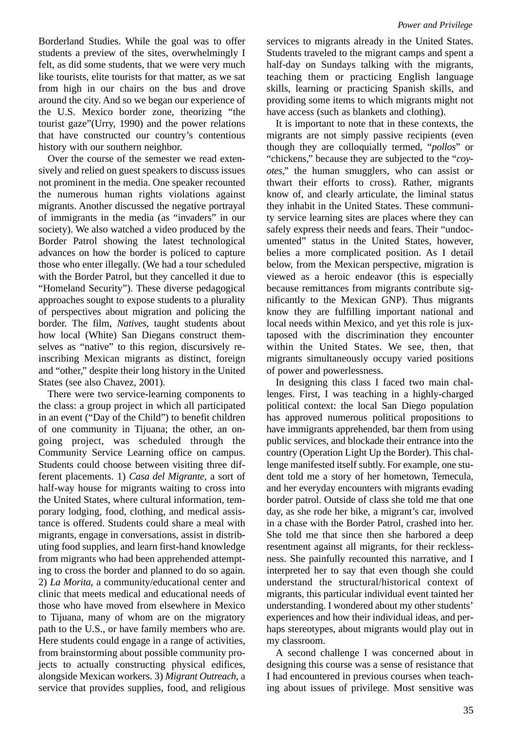Borderland Studies. While the goal was to offer students a preview of the sites, overwhelmingly I felt, as did some students, that we were very much like tourists, elite tourists for that matter, as we sat from high in our chairs on the bus and drove around the city. And so we began our experience of the U.S. Mexico border zone, theorizing "the tourist gaze"(Urry, 1990) and the power relations that have constructed our country's contentious history with our southern neighbor.

Over the course of the semester we read extensively and relied on guest speakers to discuss issues not prominent in the media. One speaker recounted the numerous human rights violations against migrants. Another discussed the negative portrayal of immigrants in the media (as "invaders" in our society). We also watched a video produced by the Border Patrol showing the latest technological advances on how the border is policed to capture those who enter illegally. (We had a tour scheduled with the Border Patrol, but they cancelled it due to "Homeland Security"). These diverse pedagogical approaches sought to expose students to a plurality of perspectives about migration and policing the border. The film, *Natives*, taught students about how local (White) San Diegans construct themselves as "native" to this region, discursively reinscribing Mexican migrants as distinct, foreign and "other," despite their long history in the United States (see also Chavez, 2001).

There were two service-learning components to the class: a group project in which all participated in an event ("Day of the Child") to benefit children of one community in Tijuana; the other, an ongoing project, was scheduled through the Community Service Learning office on campus. Students could choose between visiting three different placements. 1) *Casa del Migrante*, a sort of half-way house for migrants waiting to cross into the United States, where cultural information, temporary lodging, food, clothing, and medical assistance is offered. Students could share a meal with migrants, engage in conversations, assist in distributing food supplies, and learn first-hand knowledge from migrants who had been apprehended attempting to cross the border and planned to do so again. 2) *La Morita*, a community/educational center and clinic that meets medical and educational needs of those who have moved from elsewhere in Mexico to Tijuana, many of whom are on the migratory path to the U.S., or have family members who are. Here students could engage in a range of activities, from brainstorming about possible community projects to actually constructing physical edifices, alongside Mexican workers. 3) *Migrant Outreach*, a service that provides supplies, food, and religious

services to migrants already in the United States. Students traveled to the migrant camps and spent a half-day on Sundays talking with the migrants, teaching them or practicing English language skills, learning or practicing Spanish skills, and providing some items to which migrants might not have access (such as blankets and clothing).

It is important to note that in these contexts, the migrants are not simply passive recipients (even though they are colloquially termed, "*pollos*" or "chickens," because they are subjected to the "*coyotes*," the human smugglers, who can assist or thwart their efforts to cross). Rather, migrants know of, and clearly articulate, the liminal status they inhabit in the United States. These community service learning sites are places where they can safely express their needs and fears. Their "undocumented" status in the United States, however, belies a more complicated position. As I detail below, from the Mexican perspective, migration is viewed as a heroic endeavor (this is especially because remittances from migrants contribute significantly to the Mexican GNP). Thus migrants know they are fulfilling important national and local needs within Mexico, and yet this role is juxtaposed with the discrimination they encounter within the United States. We see, then, that migrants simultaneously occupy varied positions of power and powerlessness.

In designing this class I faced two main challenges. First, I was teaching in a highly-charged political context: the local San Diego population has approved numerous political propositions to have immigrants apprehended, bar them from using public services, and blockade their entrance into the country (Operation Light Up the Border). This challenge manifested itself subtly. For example, one student told me a story of her hometown, Temecula, and her everyday encounters with migrants evading border patrol. Outside of class she told me that one day, as she rode her bike, a migrant's car, involved in a chase with the Border Patrol, crashed into her. She told me that since then she harbored a deep resentment against all migrants, for their recklessness. She painfully recounted this narrative, and I interpreted her to say that even though she could understand the structural/historical context of migrants, this particular individual event tainted her understanding. I wondered about my other students' experiences and how their individual ideas, and perhaps stereotypes, about migrants would play out in my classroom.

A second challenge I was concerned about in designing this course was a sense of resistance that I had encountered in previous courses when teaching about issues of privilege. Most sensitive was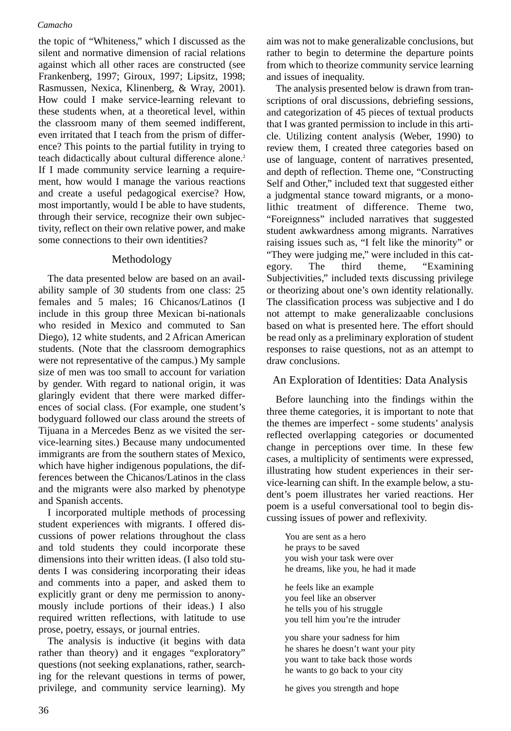the topic of "Whiteness," which I discussed as the silent and normative dimension of racial relations against which all other races are constructed (see Frankenberg, 1997; Giroux, 1997; Lipsitz, 1998; Rasmussen, Nexica, Klinenberg, & Wray, 2001). How could I make service-learning relevant to these students when, at a theoretical level, within the classroom many of them seemed indifferent, even irritated that I teach from the prism of difference? This points to the partial futility in trying to teach didactically about cultural difference alone.<sup>2</sup> If I made community service learning a requirement, how would I manage the various reactions and create a useful pedagogical exercise? How, most importantly, would I be able to have students, through their service, recognize their own subjectivity, reflect on their own relative power, and make some connections to their own identities?

# Methodology

The data presented below are based on an availability sample of 30 students from one class: 25 females and 5 males; 16 Chicanos/Latinos (I include in this group three Mexican bi-nationals who resided in Mexico and commuted to San Diego), 12 white students, and 2 African American students. (Note that the classroom demographics were not representative of the campus.) My sample size of men was too small to account for variation by gender. With regard to national origin, it was glaringly evident that there were marked differences of social class. (For example, one student's bodyguard followed our class around the streets of Tijuana in a Mercedes Benz as we visited the service-learning sites.) Because many undocumented immigrants are from the southern states of Mexico, which have higher indigenous populations, the differences between the Chicanos/Latinos in the class and the migrants were also marked by phenotype and Spanish accents.

I incorporated multiple methods of processing student experiences with migrants. I offered discussions of power relations throughout the class and told students they could incorporate these dimensions into their written ideas. (I also told students I was considering incorporating their ideas and comments into a paper, and asked them to explicitly grant or deny me permission to anonymously include portions of their ideas.) I also required written reflections, with latitude to use prose, poetry, essays, or journal entries.

The analysis is inductive (it begins with data rather than theory) and it engages "exploratory" questions (not seeking explanations, rather, searching for the relevant questions in terms of power, privilege, and community service learning). My

aim was not to make generalizable conclusions, but rather to begin to determine the departure points from which to theorize community service learning and issues of inequality.

The analysis presented below is drawn from transcriptions of oral discussions, debriefing sessions, and categorization of 45 pieces of textual products that I was granted permission to include in this article. Utilizing content analysis (Weber, 1990) to review them, I created three categories based on use of language, content of narratives presented, and depth of reflection. Theme one, "Constructing Self and Other," included text that suggested either a judgmental stance toward migrants, or a monolithic treatment of difference. Theme two, "Foreignness" included narratives that suggested student awkwardness among migrants. Narratives raising issues such as, "I felt like the minority" or "They were judging me," were included in this category. The third theme, "Examining Subjectivities," included texts discussing privilege or theorizing about one's own identity relationally. The classification process was subjective and I do not attempt to make generalizaable conclusions based on what is presented here. The effort should be read only as a preliminary exploration of student responses to raise questions, not as an attempt to draw conclusions.

# An Exploration of Identities: Data Analysis

Before launching into the findings within the three theme categories, it is important to note that the themes are imperfect - some students' analysis reflected overlapping categories or documented change in perceptions over time. In these few cases, a multiplicity of sentiments were expressed, illustrating how student experiences in their service-learning can shift. In the example below, a student's poem illustrates her varied reactions. Her poem is a useful conversational tool to begin discussing issues of power and reflexivity.

You are sent as a hero he prays to be saved you wish your task were over he dreams, like you, he had it made

he feels like an example you feel like an observer he tells you of his struggle you tell him you're the intruder

you share your sadness for him he shares he doesn't want your pity you want to take back those words he wants to go back to your city

he gives you strength and hope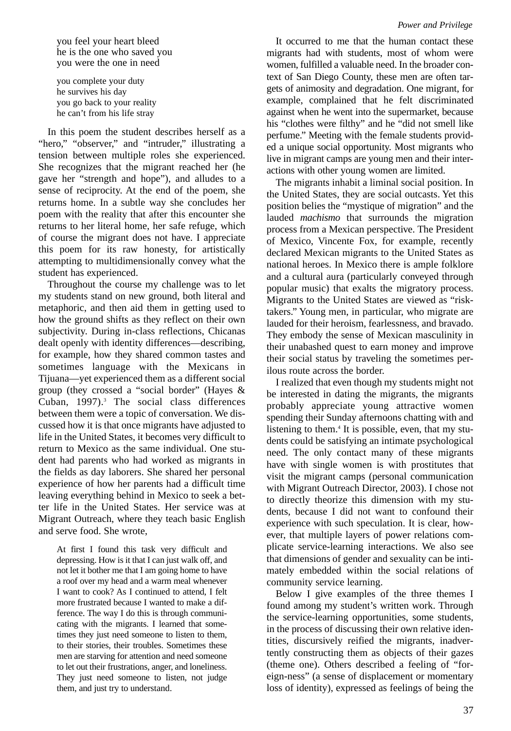you feel your heart bleed he is the one who saved you you were the one in need

you complete your duty he survives his day you go back to your reality he can't from his life stray

In this poem the student describes herself as a "hero," "observer," and "intruder," illustrating a tension between multiple roles she experienced. She recognizes that the migrant reached her (he gave her "strength and hope"), and alludes to a sense of reciprocity. At the end of the poem, she returns home. In a subtle way she concludes her poem with the reality that after this encounter she returns to her literal home, her safe refuge, which of course the migrant does not have. I appreciate this poem for its raw honesty, for artistically attempting to multidimensionally convey what the student has experienced.

Throughout the course my challenge was to let my students stand on new ground, both literal and metaphoric, and then aid them in getting used to how the ground shifts as they reflect on their own subjectivity. During in-class reflections, Chicanas dealt openly with identity differences—describing, for example, how they shared common tastes and sometimes language with the Mexicans in Tijuana—yet experienced them as a different social group (they crossed a "social border" (Hayes & Cuban,  $1997$ ).<sup>3</sup> The social class differences between them were a topic of conversation. We discussed how it is that once migrants have adjusted to life in the United States, it becomes very difficult to return to Mexico as the same individual. One student had parents who had worked as migrants in the fields as day laborers. She shared her personal experience of how her parents had a difficult time leaving everything behind in Mexico to seek a better life in the United States. Her service was at Migrant Outreach, where they teach basic English and serve food. She wrote,

At first I found this task very difficult and depressing. How is it that I can just walk off, and not let it bother me that I am going home to have a roof over my head and a warm meal whenever I want to cook? As I continued to attend, I felt more frustrated because I wanted to make a difference. The way I do this is through communicating with the migrants. I learned that sometimes they just need someone to listen to them, to their stories, their troubles. Sometimes these men are starving for attention and need someone to let out their frustrations, anger, and loneliness. They just need someone to listen, not judge them, and just try to understand.

It occurred to me that the human contact these migrants had with students, most of whom were women, fulfilled a valuable need. In the broader context of San Diego County, these men are often targets of animosity and degradation. One migrant, for example, complained that he felt discriminated against when he went into the supermarket, because his "clothes were filthy" and he "did not smell like perfume." Meeting with the female students provided a unique social opportunity. Most migrants who live in migrant camps are young men and their interactions with other young women are limited.

The migrants inhabit a liminal social position. In the United States, they are social outcasts. Yet this position belies the "mystique of migration" and the lauded *machismo* that surrounds the migration process from a Mexican perspective. The President of Mexico, Vincente Fox, for example, recently declared Mexican migrants to the United States as national heroes. In Mexico there is ample folklore and a cultural aura (particularly conveyed through popular music) that exalts the migratory process. Migrants to the United States are viewed as "risktakers." Young men, in particular, who migrate are lauded for their heroism, fearlessness, and bravado. They embody the sense of Mexican masculinity in their unabashed quest to earn money and improve their social status by traveling the sometimes perilous route across the border.

I realized that even though my students might not be interested in dating the migrants, the migrants probably appreciate young attractive women spending their Sunday afternoons chatting with and listening to them.<sup>4</sup> It is possible, even, that my students could be satisfying an intimate psychological need. The only contact many of these migrants have with single women is with prostitutes that visit the migrant camps (personal communication with Migrant Outreach Director, 2003). I chose not to directly theorize this dimension with my students, because I did not want to confound their experience with such speculation. It is clear, however, that multiple layers of power relations complicate service-learning interactions. We also see that dimensions of gender and sexuality can be intimately embedded within the social relations of community service learning.

Below I give examples of the three themes I found among my student's written work. Through the service-learning opportunities, some students, in the process of discussing their own relative identities, discursively reified the migrants, inadvertently constructing them as objects of their gazes (theme one). Others described a feeling of "foreign-ness" (a sense of displacement or momentary loss of identity), expressed as feelings of being the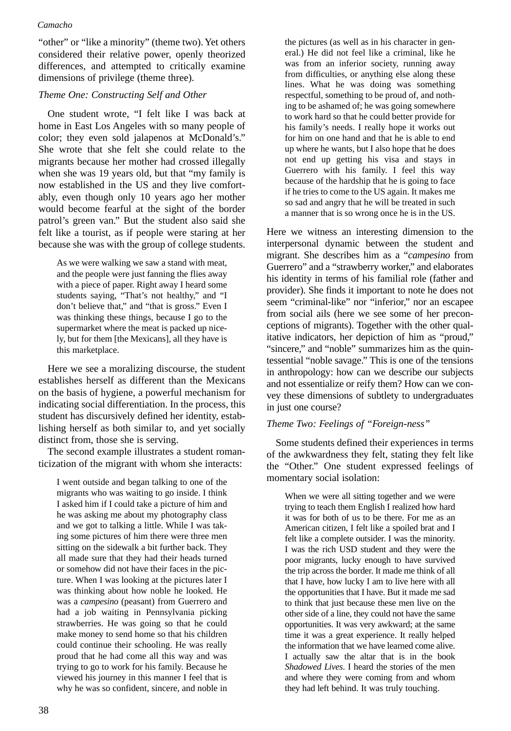"other" or "like a minority" (theme two). Yet others considered their relative power, openly theorized differences, and attempted to critically examine dimensions of privilege (theme three).

# *Theme One: Constructing Self and Other*

One student wrote, "I felt like I was back at home in East Los Angeles with so many people of color; they even sold jalapenos at McDonald's." She wrote that she felt she could relate to the migrants because her mother had crossed illegally when she was 19 years old, but that "my family is now established in the US and they live comfortably, even though only 10 years ago her mother would become fearful at the sight of the border patrol's green van." But the student also said she felt like a tourist, as if people were staring at her because she was with the group of college students.

As we were walking we saw a stand with meat, and the people were just fanning the flies away with a piece of paper. Right away I heard some students saying, "That's not healthy," and "I don't believe that," and "that is gross." Even I was thinking these things, because I go to the supermarket where the meat is packed up nicely, but for them [the Mexicans], all they have is this marketplace.

Here we see a moralizing discourse, the student establishes herself as different than the Mexicans on the basis of hygiene, a powerful mechanism for indicating social differentiation. In the process, this student has discursively defined her identity, establishing herself as both similar to, and yet socially distinct from, those she is serving.

The second example illustrates a student romanticization of the migrant with whom she interacts:

I went outside and began talking to one of the migrants who was waiting to go inside. I think I asked him if I could take a picture of him and he was asking me about my photography class and we got to talking a little. While I was taking some pictures of him there were three men sitting on the sidewalk a bit further back. They all made sure that they had their heads turned or somehow did not have their faces in the picture. When I was looking at the pictures later I was thinking about how noble he looked. He was a *campesino* (peasant) from Guerrero and had a job waiting in Pennsylvania picking strawberries. He was going so that he could make money to send home so that his children could continue their schooling. He was really proud that he had come all this way and was trying to go to work for his family. Because he viewed his journey in this manner I feel that is why he was so confident, sincere, and noble in the pictures (as well as in his character in general.) He did not feel like a criminal, like he was from an inferior society, running away from difficulties, or anything else along these lines. What he was doing was something respectful, something to be proud of, and nothing to be ashamed of; he was going somewhere to work hard so that he could better provide for his family's needs. I really hope it works out for him on one hand and that he is able to end up where he wants, but I also hope that he does not end up getting his visa and stays in Guerrero with his family. I feel this way because of the hardship that he is going to face if he tries to come to the US again. It makes me so sad and angry that he will be treated in such a manner that is so wrong once he is in the US.

Here we witness an interesting dimension to the interpersonal dynamic between the student and migrant. She describes him as a "*campesino* from Guerrero" and a "strawberry worker," and elaborates his identity in terms of his familial role (father and provider). She finds it important to note he does not seem "criminal-like" nor "inferior," nor an escapee from social ails (here we see some of her preconceptions of migrants). Together with the other qualitative indicators, her depiction of him as "proud," "sincere," and "noble" summarizes him as the quintessential "noble savage." This is one of the tensions in anthropology: how can we describe our subjects and not essentialize or reify them? How can we convey these dimensions of subtlety to undergraduates in just one course?

## *Theme Two: Feelings of "Foreign-ness"*

Some students defined their experiences in terms of the awkwardness they felt, stating they felt like the "Other." One student expressed feelings of momentary social isolation:

When we were all sitting together and we were trying to teach them English I realized how hard it was for both of us to be there. For me as an American citizen, I felt like a spoiled brat and I felt like a complete outsider. I was the minority. I was the rich USD student and they were the poor migrants, lucky enough to have survived the trip across the border. It made me think of all that I have, how lucky I am to live here with all the opportunities that I have. But it made me sad to think that just because these men live on the other side of a line, they could not have the same opportunities. It was very awkward; at the same time it was a great experience. It really helped the information that we have learned come alive. I actually saw the altar that is in the book *Shadowed Lives*. I heard the stories of the men and where they were coming from and whom they had left behind. It was truly touching.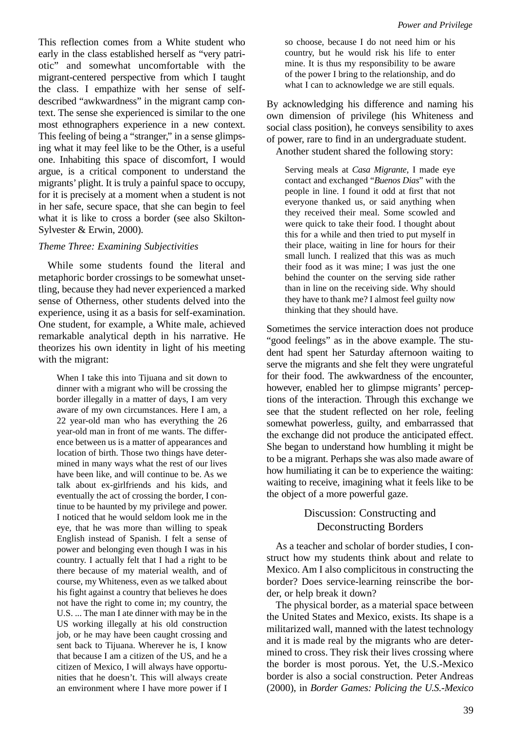This reflection comes from a White student who early in the class established herself as "very patriotic" and somewhat uncomfortable with the migrant-centered perspective from which I taught the class. I empathize with her sense of selfdescribed "awkwardness" in the migrant camp context. The sense she experienced is similar to the one most ethnographers experience in a new context. This feeling of being a "stranger," in a sense glimpsing what it may feel like to be the Other, is a useful one. Inhabiting this space of discomfort, I would argue, is a critical component to understand the migrants' plight. It is truly a painful space to occupy, for it is precisely at a moment when a student is not in her safe, secure space, that she can begin to feel what it is like to cross a border (see also Skilton-Sylvester & Erwin, 2000).

# *Theme Three: Examining Subjectivities*

While some students found the literal and metaphoric border crossings to be somewhat unsettling, because they had never experienced a marked sense of Otherness, other students delved into the experience, using it as a basis for self-examination. One student, for example, a White male, achieved remarkable analytical depth in his narrative. He theorizes his own identity in light of his meeting with the migrant:

When I take this into Tijuana and sit down to dinner with a migrant who will be crossing the border illegally in a matter of days, I am very aware of my own circumstances. Here I am, a 22 year-old man who has everything the 26 year-old man in front of me wants. The difference between us is a matter of appearances and location of birth. Those two things have determined in many ways what the rest of our lives have been like, and will continue to be. As we talk about ex-girlfriends and his kids, and eventually the act of crossing the border, I continue to be haunted by my privilege and power. I noticed that he would seldom look me in the eye, that he was more than willing to speak English instead of Spanish. I felt a sense of power and belonging even though I was in his country. I actually felt that I had a right to be there because of my material wealth, and of course, my Whiteness, even as we talked about his fight against a country that believes he does not have the right to come in; my country, the U.S. ... The man I ate dinner with may be in the US working illegally at his old construction job, or he may have been caught crossing and sent back to Tijuana. Wherever he is, I know that because I am a citizen of the US, and he a citizen of Mexico, I will always have opportunities that he doesn't. This will always create an environment where I have more power if I so choose, because I do not need him or his country, but he would risk his life to enter mine. It is thus my responsibility to be aware of the power I bring to the relationship, and do what I can to acknowledge we are still equals.

By acknowledging his difference and naming his own dimension of privilege (his Whiteness and social class position), he conveys sensibility to axes of power, rare to find in an undergraduate student. Another student shared the following story:

Serving meals at *Casa Migrante*, I made eye contact and exchanged "*Buenos Dias*" with the people in line. I found it odd at first that not everyone thanked us, or said anything when they received their meal. Some scowled and were quick to take their food. I thought about this for a while and then tried to put myself in their place, waiting in line for hours for their small lunch. I realized that this was as much their food as it was mine; I was just the one behind the counter on the serving side rather than in line on the receiving side. Why should they have to thank me? I almost feel guilty now thinking that they should have.

Sometimes the service interaction does not produce "good feelings" as in the above example. The student had spent her Saturday afternoon waiting to serve the migrants and she felt they were ungrateful for their food. The awkwardness of the encounter, however, enabled her to glimpse migrants' perceptions of the interaction. Through this exchange we see that the student reflected on her role, feeling somewhat powerless, guilty, and embarrassed that the exchange did not produce the anticipated effect. She began to understand how humbling it might be to be a migrant. Perhaps she was also made aware of how humiliating it can be to experience the waiting: waiting to receive, imagining what it feels like to be the object of a more powerful gaze.

# Discussion: Constructing and Deconstructing Borders

As a teacher and scholar of border studies, I construct how my students think about and relate to Mexico. Am I also complicitous in constructing the border? Does service-learning reinscribe the border, or help break it down?

The physical border, as a material space between the United States and Mexico, exists. Its shape is a militarized wall, manned with the latest technology and it is made real by the migrants who are determined to cross. They risk their lives crossing where the border is most porous. Yet, the U.S.-Mexico border is also a social construction. Peter Andreas (2000), in *Border Games: Policing the U.S.-Mexico*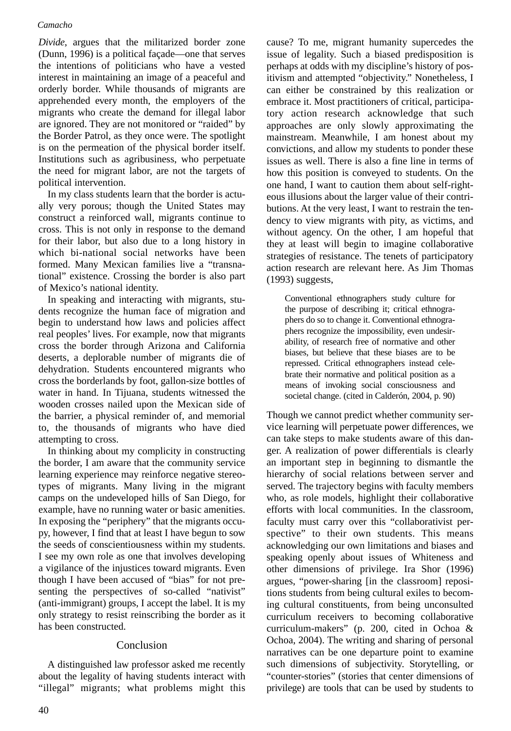*Divide*, argues that the militarized border zone (Dunn, 1996) is a political façade—one that serves the intentions of politicians who have a vested interest in maintaining an image of a peaceful and orderly border. While thousands of migrants are apprehended every month, the employers of the migrants who create the demand for illegal labor are ignored. They are not monitored or "raided" by the Border Patrol, as they once were. The spotlight is on the permeation of the physical border itself. Institutions such as agribusiness, who perpetuate the need for migrant labor, are not the targets of political intervention.

In my class students learn that the border is actually very porous; though the United States may construct a reinforced wall, migrants continue to cross. This is not only in response to the demand for their labor, but also due to a long history in which bi-national social networks have been formed. Many Mexican families live a "transnational" existence. Crossing the border is also part of Mexico's national identity.

In speaking and interacting with migrants, students recognize the human face of migration and begin to understand how laws and policies affect real peoples' lives. For example, now that migrants cross the border through Arizona and California deserts, a deplorable number of migrants die of dehydration. Students encountered migrants who cross the borderlands by foot, gallon-size bottles of water in hand. In Tijuana, students witnessed the wooden crosses nailed upon the Mexican side of the barrier, a physical reminder of, and memorial to, the thousands of migrants who have died attempting to cross.

In thinking about my complicity in constructing the border, I am aware that the community service learning experience may reinforce negative stereotypes of migrants. Many living in the migrant camps on the undeveloped hills of San Diego, for example, have no running water or basic amenities. In exposing the "periphery" that the migrants occupy, however, I find that at least I have begun to sow the seeds of conscientiousness within my students. I see my own role as one that involves developing a vigilance of the injustices toward migrants. Even though I have been accused of "bias" for not presenting the perspectives of so-called "nativist" (anti-immigrant) groups, I accept the label. It is my only strategy to resist reinscribing the border as it has been constructed.

# Conclusion

A distinguished law professor asked me recently about the legality of having students interact with "illegal" migrants; what problems might this cause? To me, migrant humanity supercedes the issue of legality. Such a biased predisposition is perhaps at odds with my discipline's history of positivism and attempted "objectivity." Nonetheless, I can either be constrained by this realization or embrace it. Most practitioners of critical, participatory action research acknowledge that such approaches are only slowly approximating the mainstream. Meanwhile, I am honest about my convictions, and allow my students to ponder these issues as well. There is also a fine line in terms of how this position is conveyed to students. On the one hand, I want to caution them about self-righteous illusions about the larger value of their contributions. At the very least, I want to restrain the tendency to view migrants with pity, as victims, and without agency. On the other, I am hopeful that they at least will begin to imagine collaborative strategies of resistance. The tenets of participatory action research are relevant here. As Jim Thomas (1993) suggests,

Conventional ethnographers study culture for the purpose of describing it; critical ethnographers do so to change it. Conventional ethnographers recognize the impossibility, even undesirability, of research free of normative and other biases, but believe that these biases are to be repressed. Critical ethnographers instead celebrate their normative and political position as a means of invoking social consciousness and societal change. (cited in Calderón, 2004, p. 90)

Though we cannot predict whether community service learning will perpetuate power differences, we can take steps to make students aware of this danger. A realization of power differentials is clearly an important step in beginning to dismantle the hierarchy of social relations between server and served. The trajectory begins with faculty members who, as role models, highlight their collaborative efforts with local communities. In the classroom, faculty must carry over this "collaborativist perspective" to their own students. This means acknowledging our own limitations and biases and speaking openly about issues of Whiteness and other dimensions of privilege. Ira Shor (1996) argues, "power-sharing [in the classroom] repositions students from being cultural exiles to becoming cultural constituents, from being unconsulted curriculum receivers to becoming collaborative curriculum-makers" (p. 200, cited in Ochoa & Ochoa, 2004). The writing and sharing of personal narratives can be one departure point to examine such dimensions of subjectivity. Storytelling, or "counter-stories" (stories that center dimensions of privilege) are tools that can be used by students to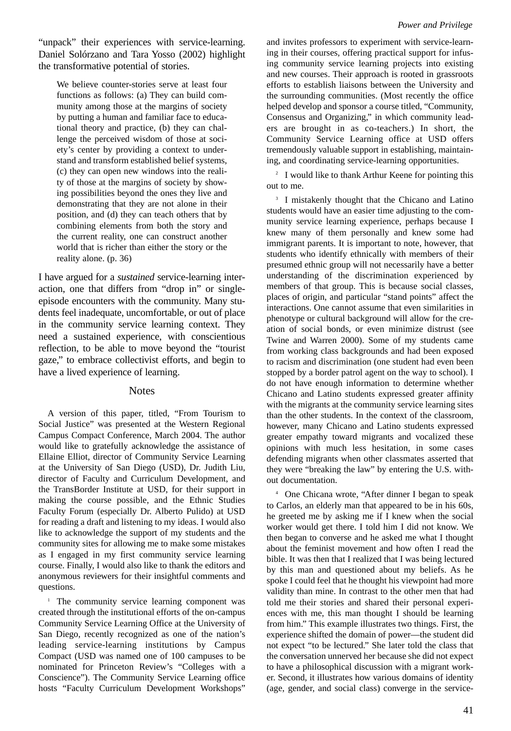"unpack" their experiences with service-learning. Daniel Solórzano and Tara Yosso (2002) highlight the transformative potential of stories.

We believe counter-stories serve at least four functions as follows: (a) They can build community among those at the margins of society by putting a human and familiar face to educational theory and practice, (b) they can challenge the perceived wisdom of those at society's center by providing a context to understand and transform established belief systems, (c) they can open new windows into the reality of those at the margins of society by showing possibilities beyond the ones they live and demonstrating that they are not alone in their position, and (d) they can teach others that by combining elements from both the story and the current reality, one can construct another world that is richer than either the story or the reality alone. (p. 36)

I have argued for a *sustained* service-learning interaction, one that differs from "drop in" or singleepisode encounters with the community. Many students feel inadequate, uncomfortable, or out of place in the community service learning context. They need a sustained experience, with conscientious reflection, to be able to move beyond the "tourist gaze," to embrace collectivist efforts, and begin to have a lived experience of learning.

#### **Notes**

A version of this paper, titled, "From Tourism to Social Justice" was presented at the Western Regional Campus Compact Conference, March 2004. The author would like to gratefully acknowledge the assistance of Ellaine Elliot, director of Community Service Learning at the University of San Diego (USD), Dr. Judith Liu, director of Faculty and Curriculum Development, and the TransBorder Institute at USD, for their support in making the course possible, and the Ethnic Studies Faculty Forum (especially Dr. Alberto Pulido) at USD for reading a draft and listening to my ideas. I would also like to acknowledge the support of my students and the community sites for allowing me to make some mistakes as I engaged in my first community service learning course. Finally, I would also like to thank the editors and anonymous reviewers for their insightful comments and questions.

<sup>1</sup> The community service learning component was created through the institutional efforts of the on-campus Community Service Learning Office at the University of San Diego, recently recognized as one of the nation's leading service-learning institutions by Campus Compact (USD was named one of 100 campuses to be nominated for Princeton Review's "Colleges with a Conscience"). The Community Service Learning office hosts "Faculty Curriculum Development Workshops"

and invites professors to experiment with service-learning in their courses, offering practical support for infusing community service learning projects into existing and new courses. Their approach is rooted in grassroots efforts to establish liaisons between the University and the surrounding communities. (Most recently the office helped develop and sponsor a course titled, "Community, Consensus and Organizing," in which community leaders are brought in as co-teachers.) In short, the Community Service Learning office at USD offers tremendously valuable support in establishing, maintaining, and coordinating service-learning opportunities.

<sup>2</sup> I would like to thank Arthur Keene for pointing this out to me.

<sup>3</sup> I mistakenly thought that the Chicano and Latino students would have an easier time adjusting to the community service learning experience, perhaps because I knew many of them personally and knew some had immigrant parents. It is important to note, however, that students who identify ethnically with members of their presumed ethnic group will not necessarily have a better understanding of the discrimination experienced by members of that group. This is because social classes, places of origin, and particular "stand points" affect the interactions. One cannot assume that even similarities in phenotype or cultural background will allow for the creation of social bonds, or even minimize distrust (see Twine and Warren 2000). Some of my students came from working class backgrounds and had been exposed to racism and discrimination (one student had even been stopped by a border patrol agent on the way to school). I do not have enough information to determine whether Chicano and Latino students expressed greater affinity with the migrants at the community service learning sites than the other students. In the context of the classroom, however, many Chicano and Latino students expressed greater empathy toward migrants and vocalized these opinions with much less hesitation, in some cases defending migrants when other classmates asserted that they were "breaking the law" by entering the U.S. without documentation.

<sup>4</sup> One Chicana wrote, "After dinner I began to speak to Carlos, an elderly man that appeared to be in his 60s, he greeted me by asking me if I knew when the social worker would get there. I told him I did not know. We then began to converse and he asked me what I thought about the feminist movement and how often I read the bible. It was then that I realized that I was being lectured by this man and questioned about my beliefs. As he spoke I could feel that he thought his viewpoint had more validity than mine. In contrast to the other men that had told me their stories and shared their personal experiences with me, this man thought I should be learning from him." This example illustrates two things. First, the experience shifted the domain of power—the student did not expect "to be lectured." She later told the class that the conversation unnerved her because she did not expect to have a philosophical discussion with a migrant worker. Second, it illustrates how various domains of identity (age, gender, and social class) converge in the service-